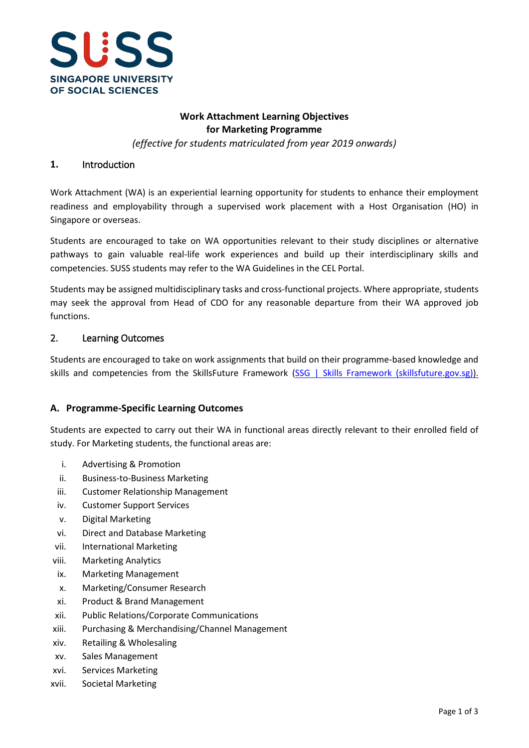

# **Work Attachment Learning Objectives for Marketing Programme**

*(effective for students matriculated from year 2019 onwards)*

### **1.** Introduction

Work Attachment (WA) is an experiential learning opportunity for students to enhance their employment readiness and employability through a supervised work placement with a Host Organisation (HO) in Singapore or overseas.

Students are encouraged to take on WA opportunities relevant to their study disciplines or alternative pathways to gain valuable real-life work experiences and build up their interdisciplinary skills and competencies. SUSS students may refer to the WA Guidelines in the CEL Portal.

Students may be assigned multidisciplinary tasks and cross-functional projects. Where appropriate, students may seek the approval from Head of CDO for any reasonable departure from their WA approved job functions.

#### 2. Learning Outcomes

Students are encouraged to take on work assignments that build on their programme-based knowledge and skills and competencies from the SkillsFuture Framework [\(SSG | Skills Framework \(skillsfuture.gov.sg\)\)](https://www.skillsfuture.gov.sg/skills-framework).

### **A. Programme-Specific Learning Outcomes**

Students are expected to carry out their WA in functional areas directly relevant to their enrolled field of study. For Marketing students, the functional areas are:

- i. Advertising & Promotion
- ii. Business-to-Business Marketing
- iii. Customer Relationship Management
- iv. Customer Support Services
- v. Digital Marketing
- vi. Direct and Database Marketing
- vii. International Marketing
- viii. Marketing Analytics
- ix. Marketing Management
- x. Marketing/Consumer Research
- xi. Product & Brand Management
- xii. Public Relations/Corporate Communications
- xiii. Purchasing & Merchandising/Channel Management
- xiv. Retailing & Wholesaling
- xv. Sales Management
- xvi. Services Marketing
- xvii. Societal Marketing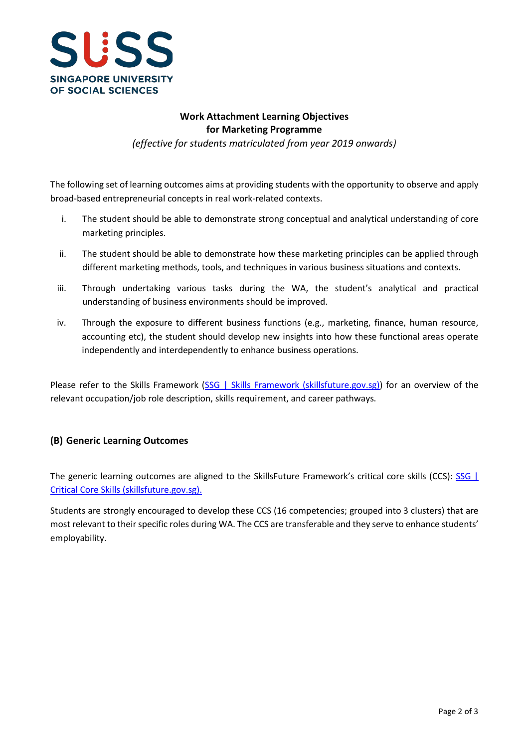

# **Work Attachment Learning Objectives for Marketing Programme**

*(effective for students matriculated from year 2019 onwards)*

The following set of learning outcomes aims at providing students with the opportunity to observe and apply broad-based entrepreneurial concepts in real work-related contexts.

- i. The student should be able to demonstrate strong conceptual and analytical understanding of core marketing principles.
- ii. The student should be able to demonstrate how these marketing principles can be applied through different marketing methods, tools, and techniques in various business situations and contexts.
- iii. Through undertaking various tasks during the WA, the student's analytical and practical understanding of business environments should be improved.
- iv. Through the exposure to different business functions (e.g., marketing, finance, human resource, accounting etc), the student should develop new insights into how these functional areas operate independently and interdependently to enhance business operations.

Please refer to the Skills Framework [\(SSG | Skills Framework \(skillsfuture.gov.sg\)\)](https://www.skillsfuture.gov.sg/skills-framework) for an overview of the relevant occupation/job role description, skills requirement, and career pathways.

# **(B) Generic Learning Outcomes**

The generic learning outcomes are aligned to the SkillsFuture Framework's critical core skills (CCS): SSG | [Critical Core Skills \(skillsfuture.gov.sg\).](https://www.skillsfuture.gov.sg/skills-framework/criticalcoreskills)

Students are strongly encouraged to develop these CCS (16 competencies; grouped into 3 clusters) that are most relevant to their specific roles during WA. The CCS are transferable and they serve to enhance students' employability.